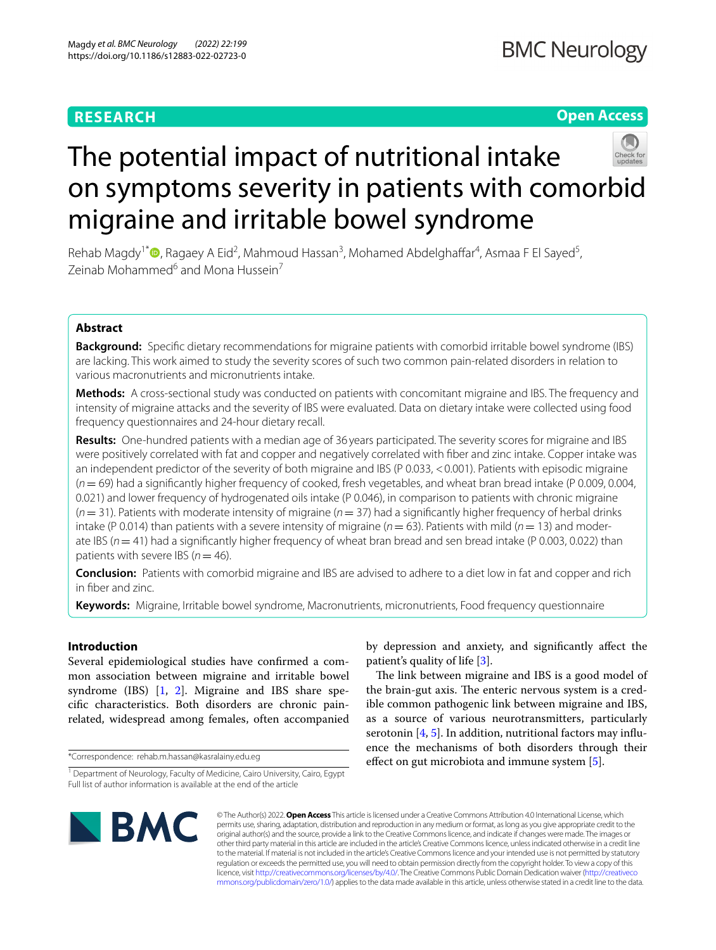# **RESEARCH**

# **Open Access**



# The potential impact of nutritional intake on symptoms severity in patients with comorbid migraine and irritable bowel syndrome

Rehab Magdy<sup>1\*</sup><sup>®</sup>[,](https://orcid.org/0000-0002-4916-276X) Ragaey A Eid<sup>2</sup>, Mahmoud Hassan<sup>3</sup>, Mohamed Abdelghaffar<sup>4</sup>, Asmaa F El Sayed<sup>5</sup>, Zeinab Mohammed<sup>6</sup> and Mona Hussein<sup>7</sup>

# **Abstract**

**Background:** Specifc dietary recommendations for migraine patients with comorbid irritable bowel syndrome (IBS) are lacking. This work aimed to study the severity scores of such two common pain-related disorders in relation to various macronutrients and micronutrients intake.

**Methods:** A cross-sectional study was conducted on patients with concomitant migraine and IBS. The frequency and intensity of migraine attacks and the severity of IBS were evaluated. Data on dietary intake were collected using food frequency questionnaires and 24-hour dietary recall.

**Results:** One-hundred patients with a median age of 36 years participated. The severity scores for migraine and IBS were positively correlated with fat and copper and negatively correlated with fber and zinc intake. Copper intake was an independent predictor of the severity of both migraine and IBS (P 0.033, <0.001). Patients with episodic migraine (*n*= 69) had a signifcantly higher frequency of cooked, fresh vegetables, and wheat bran bread intake (P 0.009, 0.004, 0.021) and lower frequency of hydrogenated oils intake (P 0.046), in comparison to patients with chronic migraine (*n*= 31). Patients with moderate intensity of migraine (*n*= 37) had a signifcantly higher frequency of herbal drinks intake (P 0.014) than patients with a severe intensity of migraine ( $n = 63$ ). Patients with mild ( $n = 13$ ) and moderate IBS (*n*= 41) had a signifcantly higher frequency of wheat bran bread and sen bread intake (P 0.003, 0.022) than patients with severe IBS (*n*= 46).

**Conclusion:** Patients with comorbid migraine and IBS are advised to adhere to a diet low in fat and copper and rich in fber and zinc.

**Keywords:** Migraine, Irritable bowel syndrome, Macronutrients, micronutrients, Food frequency questionnaire

## **Introduction**

Several epidemiological studies have confrmed a common association between migraine and irritable bowel syndrome (IBS) [[1,](#page-8-0) [2\]](#page-8-1). Migraine and IBS share specifc characteristics. Both disorders are chronic painrelated, widespread among females, often accompanied

\*Correspondence: rehab.m.hassan@kasralainy.edu.eg

by depression and anxiety, and signifcantly afect the patient's quality of life [[3\]](#page-8-2).

The link between migraine and IBS is a good model of the brain-gut axis. The enteric nervous system is a credible common pathogenic link between migraine and IBS, as a source of various neurotransmitters, particularly serotonin [\[4](#page-8-3), [5](#page-8-4)]. In addition, nutritional factors may influence the mechanisms of both disorders through their effect on gut microbiota and immune system [[5\]](#page-8-4).



© The Author(s) 2022. **Open Access** This article is licensed under a Creative Commons Attribution 4.0 International License, which permits use, sharing, adaptation, distribution and reproduction in any medium or format, as long as you give appropriate credit to the original author(s) and the source, provide a link to the Creative Commons licence, and indicate if changes were made. The images or other third party material in this article are included in the article's Creative Commons licence, unless indicated otherwise in a credit line to the material. If material is not included in the article's Creative Commons licence and your intended use is not permitted by statutory regulation or exceeds the permitted use, you will need to obtain permission directly from the copyright holder. To view a copy of this licence, visit [http://creativecommons.org/licenses/by/4.0/.](http://creativecommons.org/licenses/by/4.0/) The Creative Commons Public Domain Dedication waiver ([http://creativeco](http://creativecommons.org/publicdomain/zero/1.0/) [mmons.org/publicdomain/zero/1.0/](http://creativecommons.org/publicdomain/zero/1.0/)) applies to the data made available in this article, unless otherwise stated in a credit line to the data.

<sup>&</sup>lt;sup>1</sup> Department of Neurology, Faculty of Medicine, Cairo University, Cairo, Egypt Full list of author information is available at the end of the article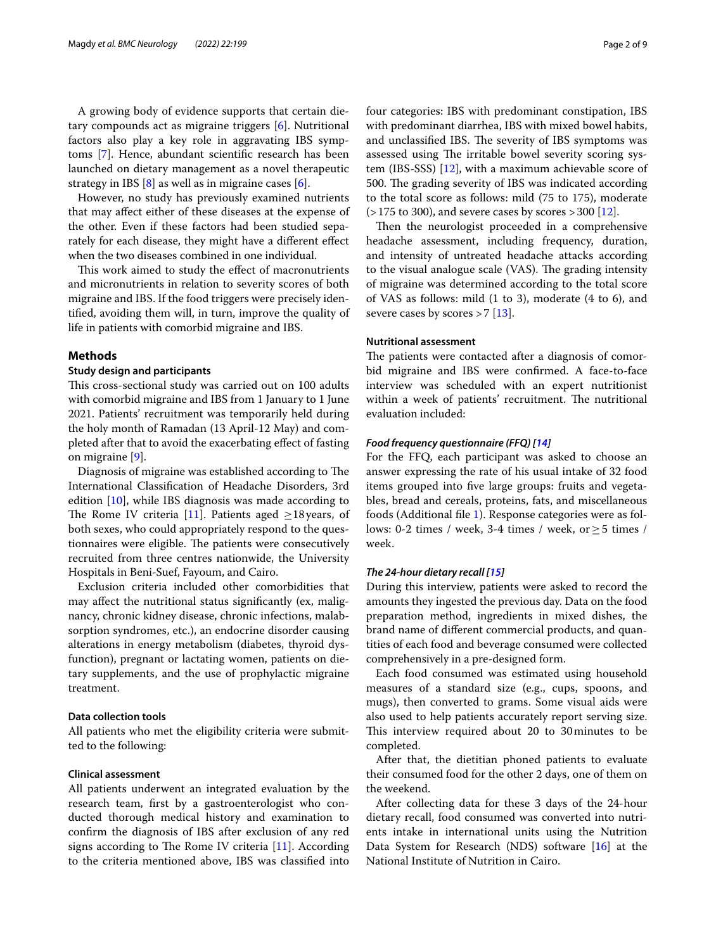A growing body of evidence supports that certain dietary compounds act as migraine triggers [\[6](#page-8-5)]. Nutritional factors also play a key role in aggravating IBS symptoms [\[7](#page-8-6)]. Hence, abundant scientifc research has been launched on dietary management as a novel therapeutic strategy in IBS  $[8]$  $[8]$  as well as in migraine cases  $[6]$  $[6]$ .

However, no study has previously examined nutrients that may afect either of these diseases at the expense of the other. Even if these factors had been studied separately for each disease, they might have a diferent efect when the two diseases combined in one individual.

This work aimed to study the effect of macronutrients and micronutrients in relation to severity scores of both migraine and IBS. If the food triggers were precisely identifed, avoiding them will, in turn, improve the quality of life in patients with comorbid migraine and IBS.

#### **Methods**

#### **Study design and participants**

This cross-sectional study was carried out on 100 adults with comorbid migraine and IBS from 1 January to 1 June 2021. Patients' recruitment was temporarily held during the holy month of Ramadan (13 April-12 May) and completed after that to avoid the exacerbating efect of fasting on migraine [[9](#page-8-8)].

Diagnosis of migraine was established according to The International Classifcation of Headache Disorders, 3rd edition [\[10\]](#page-8-9), while IBS diagnosis was made according to The Rome IV criteria [\[11](#page-8-10)]. Patients aged  $\geq$ 18 years, of both sexes, who could appropriately respond to the questionnaires were eligible. The patients were consecutively recruited from three centres nationwide, the University Hospitals in Beni-Suef, Fayoum, and Cairo.

Exclusion criteria included other comorbidities that may afect the nutritional status signifcantly (ex, malignancy, chronic kidney disease, chronic infections, malabsorption syndromes, etc.), an endocrine disorder causing alterations in energy metabolism (diabetes, thyroid dysfunction), pregnant or lactating women, patients on dietary supplements, and the use of prophylactic migraine treatment.

## **Data collection tools**

All patients who met the eligibility criteria were submitted to the following:

## **Clinical assessment**

All patients underwent an integrated evaluation by the research team, frst by a gastroenterologist who conducted thorough medical history and examination to confrm the diagnosis of IBS after exclusion of any red signs according to The Rome IV criteria  $[11]$  $[11]$ . According to the criteria mentioned above, IBS was classifed into

four categories: IBS with predominant constipation, IBS with predominant diarrhea, IBS with mixed bowel habits, and unclassified IBS. The severity of IBS symptoms was assessed using The irritable bowel severity scoring system (IBS-SSS) [[12\]](#page-8-11), with a maximum achievable score of 500. The grading severity of IBS was indicated according to the total score as follows: mild (75 to 175), moderate  $(>175$  to 300), and severe cases by scores  $>$  300 [\[12](#page-8-11)].

Then the neurologist proceeded in a comprehensive headache assessment, including frequency, duration, and intensity of untreated headache attacks according to the visual analogue scale (VAS). The grading intensity of migraine was determined according to the total score of VAS as follows: mild (1 to 3), moderate (4 to 6), and severe cases by scores  $>7$  [[13\]](#page-8-12).

## **Nutritional assessment**

The patients were contacted after a diagnosis of comorbid migraine and IBS were confrmed. A face-to-face interview was scheduled with an expert nutritionist within a week of patients' recruitment. The nutritional evaluation included:

## *Food frequency questionnaire (FFQ) [\[14\]](#page-8-13)*

For the FFQ, each participant was asked to choose an answer expressing the rate of his usual intake of 32 food items grouped into fve large groups: fruits and vegetables, bread and cereals, proteins, fats, and miscellaneous foods (Additional fle [1\)](#page-7-0). Response categories were as follows: 0-2 times / week, 3-4 times / week, or≥5 times / week.

## *The 24‑hour dietary recall [\[15](#page-8-14)]*

During this interview, patients were asked to record the amounts they ingested the previous day. Data on the food preparation method, ingredients in mixed dishes, the brand name of diferent commercial products, and quantities of each food and beverage consumed were collected comprehensively in a pre-designed form.

Each food consumed was estimated using household measures of a standard size (e.g., cups, spoons, and mugs), then converted to grams. Some visual aids were also used to help patients accurately report serving size. This interview required about 20 to 30 minutes to be completed.

After that, the dietitian phoned patients to evaluate their consumed food for the other 2 days, one of them on the weekend.

After collecting data for these 3 days of the 24-hour dietary recall, food consumed was converted into nutrients intake in international units using the Nutrition Data System for Research (NDS) software [\[16](#page-8-15)] at the National Institute of Nutrition in Cairo.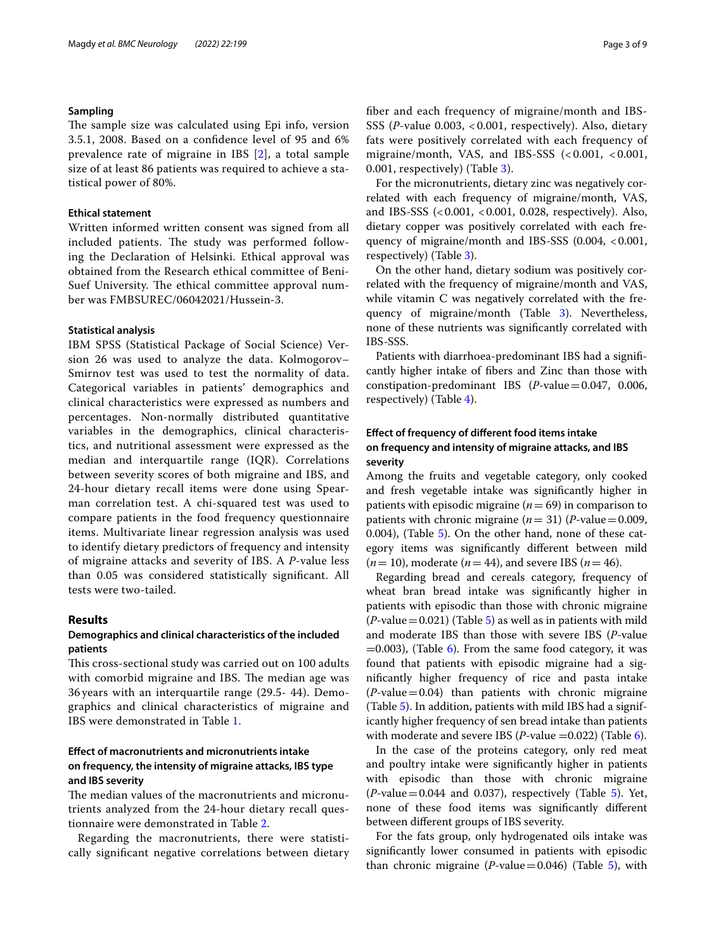## **Sampling**

The sample size was calculated using Epi info, version 3.5.1, 2008. Based on a confdence level of 95 and 6% prevalence rate of migraine in IBS [[2\]](#page-8-1), a total sample size of at least 86 patients was required to achieve a statistical power of 80%.

## **Ethical statement**

Written informed written consent was signed from all included patients. The study was performed following the Declaration of Helsinki. Ethical approval was obtained from the Research ethical committee of Beni-Suef University. The ethical committee approval number was FMBSUREC/06042021/Hussein-3.

#### **Statistical analysis**

IBM SPSS (Statistical Package of Social Science) Version 26 was used to analyze the data. Kolmogorov– Smirnov test was used to test the normality of data. Categorical variables in patients' demographics and clinical characteristics were expressed as numbers and percentages. Non-normally distributed quantitative variables in the demographics, clinical characteristics, and nutritional assessment were expressed as the median and interquartile range (IQR). Correlations between severity scores of both migraine and IBS, and 24-hour dietary recall items were done using Spearman correlation test. A chi-squared test was used to compare patients in the food frequency questionnaire items. Multivariate linear regression analysis was used to identify dietary predictors of frequency and intensity of migraine attacks and severity of IBS. A *P-*value less than 0.05 was considered statistically signifcant. All tests were two-tailed.

## **Results**

## **Demographics and clinical characteristics of the included patients**

This cross-sectional study was carried out on 100 adults with comorbid migraine and IBS. The median age was 36 years with an interquartile range (29.5- 44). Demographics and clinical characteristics of migraine and IBS were demonstrated in Table [1](#page-3-0).

## **Efect of macronutrients and micronutrients intake on frequency, the intensity of migraine attacks, IBS type and IBS severity**

The median values of the macronutrients and micronutrients analyzed from the 24-hour dietary recall questionnaire were demonstrated in Table [2](#page-4-0).

Regarding the macronutrients, there were statistically signifcant negative correlations between dietary fber and each frequency of migraine/month and IBS-SSS (*P-*value 0.003, < 0.001, respectively). Also, dietary fats were positively correlated with each frequency of migraine/month, VAS, and IBS-SSS (< 0.001, < 0.001, 0.001, respectively) (Table [3\)](#page-4-1).

For the micronutrients, dietary zinc was negatively correlated with each frequency of migraine/month, VAS, and IBS-SSS (<0.001, <0.001, 0.028, respectively). Also, dietary copper was positively correlated with each frequency of migraine/month and IBS-SSS (0.004, <0.001, respectively) (Table [3](#page-4-1)).

On the other hand, dietary sodium was positively correlated with the frequency of migraine/month and VAS, while vitamin C was negatively correlated with the frequency of migraine/month (Table [3](#page-4-1)). Nevertheless, none of these nutrients was signifcantly correlated with IBS-SSS.

Patients with diarrhoea-predominant IBS had a signifcantly higher intake of fbers and Zinc than those with constipation-predominant IBS (*P-*value=0.047, 0.006, respectively) (Table [4](#page-5-0)).

## **Efect of frequency of diferent food items intake on frequency and intensity of migraine attacks, and IBS severity**

Among the fruits and vegetable category, only cooked and fresh vegetable intake was signifcantly higher in patients with episodic migraine  $(n = 69)$  in comparison to patients with chronic migraine  $(n=31)$  (*P*-value=0.009, 0.004), (Table [5](#page-6-0)). On the other hand, none of these category items was signifcantly diferent between mild  $(n = 10)$ , moderate  $(n = 44)$ , and severe IBS  $(n = 46)$ .

Regarding bread and cereals category, frequency of wheat bran bread intake was signifcantly higher in patients with episodic than those with chronic migraine  $(P$ -value = 0.021) (Table  $5$ ) as well as in patients with mild and moderate IBS than those with severe IBS (*P-*value  $=0.003$ ), (Table [6\)](#page-6-1). From the same food category, it was found that patients with episodic migraine had a signifcantly higher frequency of rice and pasta intake  $(P-value = 0.04)$  than patients with chronic migraine (Table [5\)](#page-6-0). In addition, patients with mild IBS had a significantly higher frequency of sen bread intake than patients with moderate and severe IBS (*P*-value =0.022) (Table [6\)](#page-6-1).

In the case of the proteins category, only red meat and poultry intake were signifcantly higher in patients with episodic than those with chronic migraine  $(P$ -value = 0.044 and 0.037), respectively (Table [5](#page-6-0)). Yet, none of these food items was signifcantly diferent between diferent groups of IBS severity.

For the fats group, only hydrogenated oils intake was signifcantly lower consumed in patients with episodic than chronic migraine (*P-*value=0.046) (Table [5\)](#page-6-0), with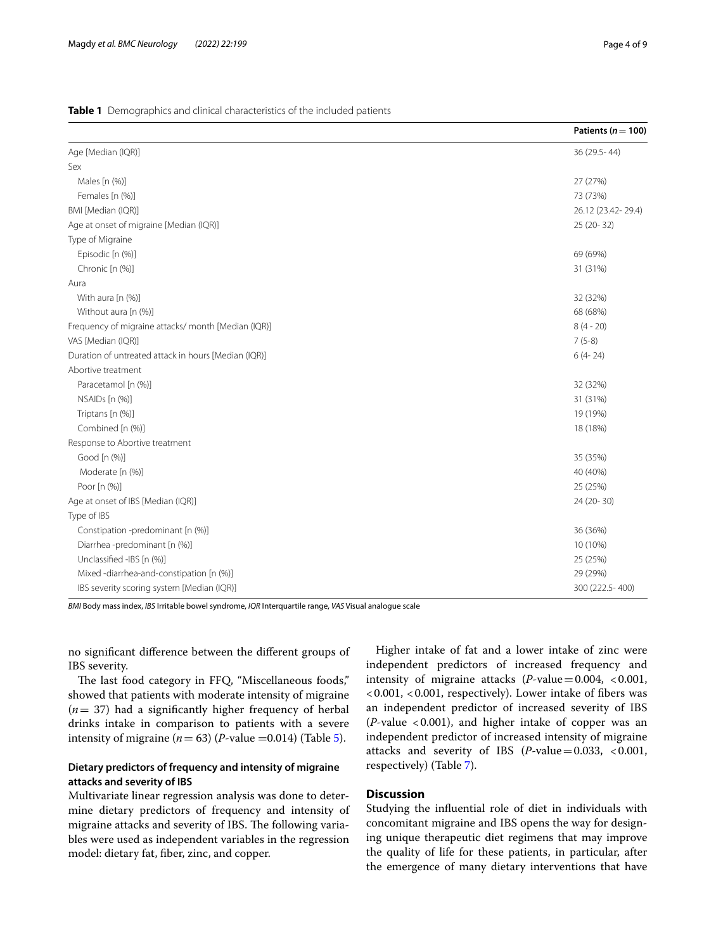## <span id="page-3-0"></span>**Table 1** Demographics and clinical characteristics of the included patients

|                                                      | Patients ( $n = 100$ ) |
|------------------------------------------------------|------------------------|
| Age [Median (IQR)]                                   | 36 (29.5 - 44)         |
| Sex                                                  |                        |
| Males [n (%)]                                        | 27 (27%)               |
| Females [n (%)]                                      | 73 (73%)               |
| BMI [Median (IQR)]                                   | 26.12 (23.42-29.4)     |
| Age at onset of migraine [Median (IQR)]              | 25 (20-32)             |
| Type of Migraine                                     |                        |
| Episodic [n (%)]                                     | 69 (69%)               |
| Chronic [n (%)]                                      | 31 (31%)               |
| Aura                                                 |                        |
| With aura [n (%)]                                    | 32 (32%)               |
| Without aura [n (%)]                                 | 68 (68%)               |
| Frequency of migraine attacks/month [Median (IQR)]   | $8(4 - 20)$            |
| VAS [Median (IQR)]                                   | $7(5-8)$               |
| Duration of untreated attack in hours [Median (IQR)] | $6(4-24)$              |
| Abortive treatment                                   |                        |
| Paracetamol [n (%)]                                  | 32 (32%)               |
| NSAIDs [n (%)]                                       | 31 (31%)               |
| Triptans [n (%)]                                     | 19 (19%)               |
| Combined [n (%)]                                     | 18 (18%)               |
| Response to Abortive treatment                       |                        |
| Good [n (%)]                                         | 35 (35%)               |
| Moderate [n (%)]                                     | 40 (40%)               |
| Poor [n (%)]                                         | 25 (25%)               |
| Age at onset of IBS [Median (IQR)]                   | 24 (20-30)             |
| Type of IBS                                          |                        |
| Constipation -predominant [n (%)]                    | 36 (36%)               |
| Diarrhea-predominant [n (%)]                         | 10 (10%)               |
| Unclassified -IBS [n (%)]                            | 25 (25%)               |
| Mixed-diarrhea-and-constipation [n (%)]              | 29 (29%)               |
| IBS severity scoring system [Median (IQR)]           | 300 (222.5-400)        |

*BMI* Body mass index, *IBS* Irritable bowel syndrome, *IQR* Interquartile range, *VAS* Visual analogue scale

no signifcant diference between the diferent groups of IBS severity.

The last food category in FFQ, "Miscellaneous foods," showed that patients with moderate intensity of migraine (*n*= 37) had a signifcantly higher frequency of herbal drinks intake in comparison to patients with a severe intensity of migraine  $(n = 63)$  (*P*-value =0.014) (Table [5](#page-6-0)).

## **Dietary predictors of frequency and intensity of migraine attacks and severity of IBS**

Multivariate linear regression analysis was done to determine dietary predictors of frequency and intensity of migraine attacks and severity of IBS. The following variables were used as independent variables in the regression model: dietary fat, fber, zinc, and copper.

Higher intake of fat and a lower intake of zinc were independent predictors of increased frequency and intensity of migraine attacks (*P-*value=0.004, <0.001, <0.001, <0.001, respectively). Lower intake of fbers was an independent predictor of increased severity of IBS (*P-*value <0.001), and higher intake of copper was an independent predictor of increased intensity of migraine attacks and severity of IBS (*P-*value=0.033, <0.001, respectively) (Table [7](#page-7-1)).

## **Discussion**

Studying the infuential role of diet in individuals with concomitant migraine and IBS opens the way for designing unique therapeutic diet regimens that may improve the quality of life for these patients, in particular, after the emergence of many dietary interventions that have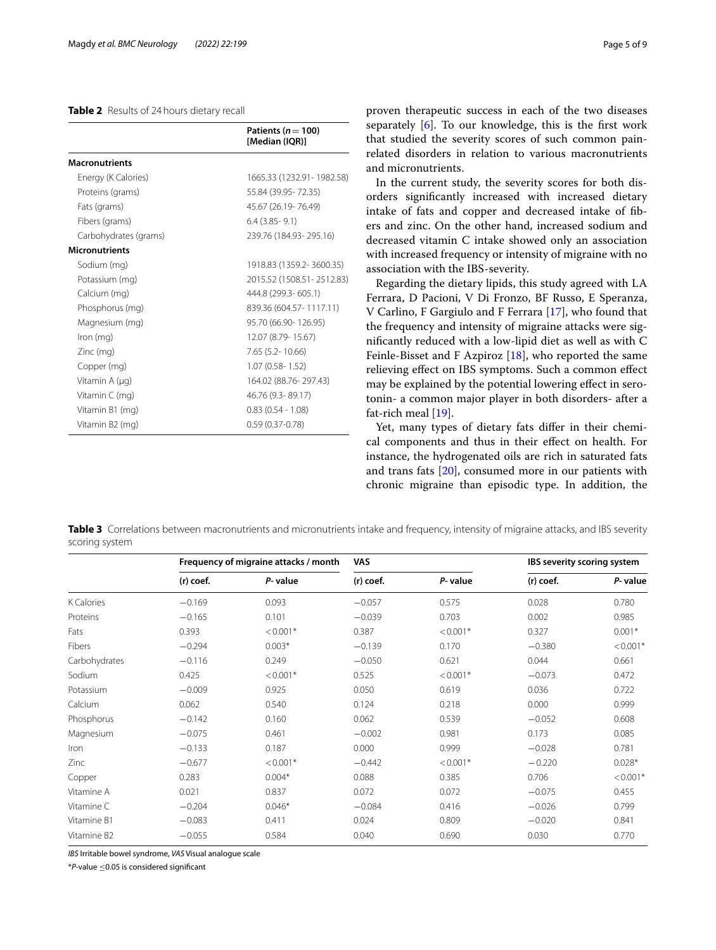## <span id="page-4-0"></span>**Table 2** Results of 24hours dietary recall

|                       | Patients ( $n = 100$ )<br>[Median (IQR)] |
|-----------------------|------------------------------------------|
| <b>Macronutrients</b> |                                          |
| Energy (K Calories)   | 1665.33 (1232.91-1982.58)                |
| Proteins (grams)      | 55.84 (39.95 - 72.35)                    |
| Fats (grams)          | 45.67 (26.19-76.49)                      |
| Fibers (grams)        | $6.4$ (3.85 - 9.1)                       |
| Carbohydrates (grams) | 239.76 (184.93-295.16)                   |
| <b>Micronutrients</b> |                                          |
| Sodium (mg)           | 1918.83 (1359.2-3600.35)                 |
| Potassium (mg)        | 2015.52 (1508.51 - 2512.83)              |
| Calcium (mg)          | 444.8 (299.3-605.1)                      |
| Phosphorus (mg)       | 839.36 (604.57 - 1117.11)                |
| Magnesium (mg)        | 95.70 (66.90-126.95)                     |
| $lron$ (mg)           | 12.07 (8.79-15.67)                       |
| Zinc (mg)             | 7.65 (5.2-10.66)                         |
| Copper (mg)           | $1.07(0.58 - 1.52)$                      |
| Vitamin A (µg)        | 164.02 (88.76-297.43)                    |
| Vitamin C (mg)        | 46.76 (9.3-89.17)                        |
| Vitamin B1 (mg)       | $0.83(0.54 - 1.08)$                      |
| Vitamin B2 (mg)       | $0.59(0.37 - 0.78)$                      |

proven therapeutic success in each of the two diseases separately [[6\]](#page-8-5). To our knowledge, this is the frst work that studied the severity scores of such common painrelated disorders in relation to various macronutrients and micronutrients.

In the current study, the severity scores for both disorders signifcantly increased with increased dietary intake of fats and copper and decreased intake of fbers and zinc. On the other hand, increased sodium and decreased vitamin C intake showed only an association with increased frequency or intensity of migraine with no association with the IBS-severity.

Regarding the dietary lipids, this study agreed with LA Ferrara, D Pacioni, V Di Fronzo, BF Russo, E Speranza, V Carlino, F Gargiulo and F Ferrara [[17](#page-8-16)], who found that the frequency and intensity of migraine attacks were signifcantly reduced with a low-lipid diet as well as with C Feinle-Bisset and F Azpiroz [[18](#page-8-17)], who reported the same relieving efect on IBS symptoms. Such a common efect may be explained by the potential lowering efect in serotonin- a common major player in both disorders- after a fat-rich meal [\[19](#page-8-18)].

Yet, many types of dietary fats differ in their chemical components and thus in their efect on health. For instance, the hydrogenated oils are rich in saturated fats and trans fats [[20\]](#page-8-19), consumed more in our patients with chronic migraine than episodic type. In addition, the

<span id="page-4-1"></span>**Table 3** Correlations between macronutrients and micronutrients intake and frequency, intensity of migraine attacks, and IBS severity scoring system

|                         | Frequency of migraine attacks / month |            | <b>VAS</b> |            | IBS severity scoring system |            |
|-------------------------|---------------------------------------|------------|------------|------------|-----------------------------|------------|
|                         | (r) coef.                             | P-value    | (r) coef.  | P-value    | (r) coef.                   | P-value    |
| <b>K</b> Calories       | $-0.169$                              | 0.093      | $-0.057$   | 0.575      | 0.028                       | 0.780      |
| Proteins                | $-0.165$                              | 0.101      | $-0.039$   | 0.703      | 0.002                       | 0.985      |
| Fats                    | 0.393                                 | $< 0.001*$ | 0.387      | $< 0.001*$ | 0.327                       | $0.001*$   |
| Fibers                  | $-0.294$                              | $0.003*$   | $-0.139$   | 0.170      | $-0.380$                    | $< 0.001*$ |
| Carbohydrates           | $-0.116$                              | 0.249      | $-0.050$   | 0.621      | 0.044                       | 0.661      |
| Sodium                  | 0.425                                 | $< 0.001*$ | 0.525      | $< 0.001*$ | $-0.073$                    | 0.472      |
| Potassium               | $-0.009$                              | 0.925      | 0.050      | 0.619      | 0.036                       | 0.722      |
| Calcium                 | 0.062                                 | 0.540      | 0.124      | 0.218      | 0.000                       | 0.999      |
| Phosphorus              | $-0.142$                              | 0.160      | 0.062      | 0.539      | $-0.052$                    | 0.608      |
| Magnesium               | $-0.075$                              | 0.461      | $-0.002$   | 0.981      | 0.173                       | 0.085      |
| Iron                    | $-0.133$                              | 0.187      | 0.000      | 0.999      | $-0.028$                    | 0.781      |
| Zinc                    | $-0.677$                              | $< 0.001*$ | $-0.442$   | $< 0.001*$ | $-0.220$                    | $0.028*$   |
| Copper                  | 0.283                                 | $0.004*$   | 0.088      | 0.385      | 0.706                       | $< 0.001*$ |
| Vitamine A              | 0.021                                 | 0.837      | 0.072      | 0.072      | $-0.075$                    | 0.455      |
| Vitamine C              | $-0.204$                              | $0.046*$   | $-0.084$   | 0.416      | $-0.026$                    | 0.799      |
| Vitamine B1             | $-0.083$                              | 0.411      | 0.024      | 0.809      | $-0.020$                    | 0.841      |
| Vitamine B <sub>2</sub> | $-0.055$                              | 0.584      | 0.040      | 0.690      | 0.030                       | 0.770      |

*IBS* Irritable bowel syndrome, *VAS* Visual analogue scale

\**P-*value ≤0.05 is considered signifcant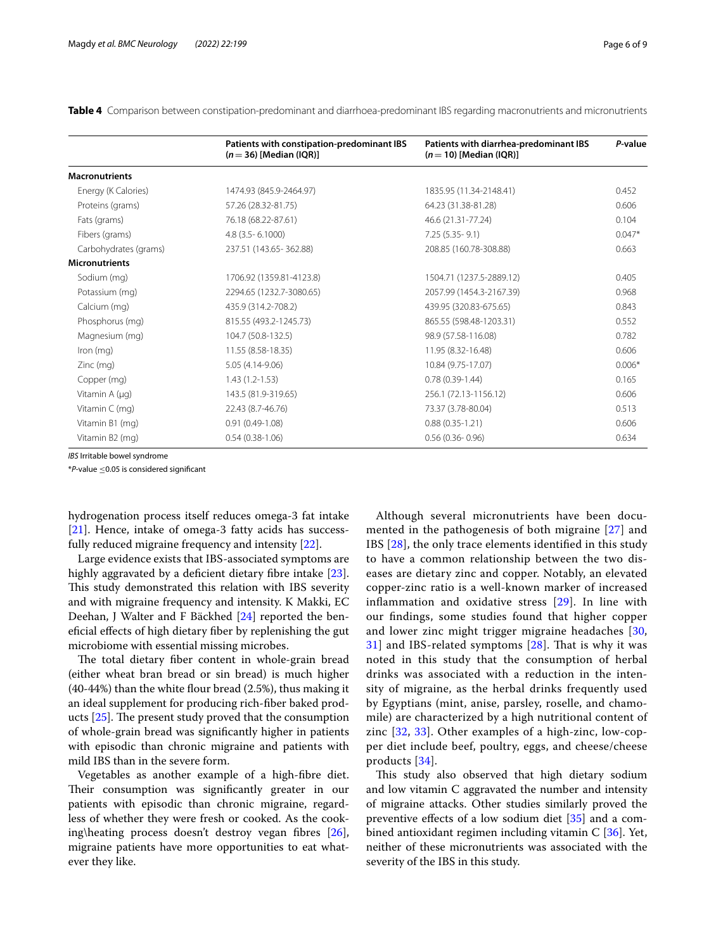|                       | Patients with constipation-predominant IBS<br>$(n=36)$ [Median (IQR)] | Patients with diarrhea-predominant IBS<br>$(n=10)$ [Median (IQR)] | P-value  |
|-----------------------|-----------------------------------------------------------------------|-------------------------------------------------------------------|----------|
| <b>Macronutrients</b> |                                                                       |                                                                   |          |
| Energy (K Calories)   | 1474.93 (845.9-2464.97)                                               | 1835.95 (11.34-2148.41)                                           | 0.452    |
| Proteins (grams)      | 57.26 (28.32-81.75)                                                   | 64.23 (31.38-81.28)                                               | 0.606    |
| Fats (grams)          | 76.18 (68.22-87.61)                                                   | 46.6 (21.31-77.24)                                                | 0.104    |
| Fibers (grams)        | $4.8$ (3.5 - 6.1000)                                                  | $7.25(5.35-9.1)$                                                  | $0.047*$ |
| Carbohydrates (grams) | 237.51 (143.65-362.88)                                                | 208.85 (160.78-308.88)                                            | 0.663    |
| <b>Micronutrients</b> |                                                                       |                                                                   |          |
| Sodium (mg)           | 1706.92 (1359.81-4123.8)                                              | 1504.71 (1237.5-2889.12)                                          | 0.405    |
| Potassium (mg)        | 2294.65 (1232.7-3080.65)                                              | 2057.99 (1454.3-2167.39)                                          | 0.968    |
| Calcium (mg)          | 435.9 (314.2-708.2)                                                   | 439.95 (320.83-675.65)                                            | 0.843    |
| Phosphorus (mg)       | 815.55 (493.2-1245.73)                                                | 865.55 (598.48-1203.31)                                           | 0.552    |
| Magnesium (mg)        | 104.7 (50.8-132.5)                                                    | 98.9 (57.58-116.08)                                               | 0.782    |
| $lron$ (mg)           | 11.55 (8.58-18.35)                                                    | 11.95 (8.32-16.48)                                                | 0.606    |
| $Zinc$ (mg)           | 5.05 (4.14-9.06)                                                      | 10.84 (9.75-17.07)                                                | $0.006*$ |
| Copper (mg)           | $1.43(1.2 - 1.53)$                                                    | $0.78(0.39-1.44)$                                                 | 0.165    |
| Vitamin $A(\mu q)$    | 143.5 (81.9-319.65)                                                   | 256.1 (72.13-1156.12)                                             | 0.606    |
| Vitamin $C$ (mg)      | 22.43 (8.7-46.76)                                                     | 73.37 (3.78-80.04)                                                | 0.513    |
| Vitamin B1 (mg)       | $0.91(0.49-1.08)$                                                     | $0.88(0.35-1.21)$                                                 | 0.606    |
| Vitamin B2 (mg)       | $0.54(0.38-1.06)$                                                     | $0.56(0.36 - 0.96)$                                               | 0.634    |

<span id="page-5-0"></span>**Table 4** Comparison between constipation-predominant and diarrhoea-predominant IBS regarding macronutrients and micronutrients

*IBS* Irritable bowel syndrome

\**P-*value ≤0.05 is considered signifcant

hydrogenation process itself reduces omega-3 fat intake [[21\]](#page-8-20). Hence, intake of omega-3 fatty acids has successfully reduced migraine frequency and intensity [[22](#page-8-21)].

Large evidence exists that IBS-associated symptoms are highly aggravated by a deficient dietary fibre intake [\[23](#page-8-22)]. This study demonstrated this relation with IBS severity and with migraine frequency and intensity. K Makki, EC Deehan, J Walter and F Bäckhed [\[24\]](#page-8-23) reported the benefcial efects of high dietary fber by replenishing the gut microbiome with essential missing microbes.

The total dietary fiber content in whole-grain bread (either wheat bran bread or sin bread) is much higher  $(40-44%)$  than the white flour bread  $(2.5%)$ , thus making it an ideal supplement for producing rich-fber baked products  $[25]$  $[25]$ . The present study proved that the consumption of whole-grain bread was signifcantly higher in patients with episodic than chronic migraine and patients with mild IBS than in the severe form.

Vegetables as another example of a high-fbre diet. Their consumption was significantly greater in our patients with episodic than chronic migraine, regardless of whether they were fresh or cooked. As the cooking\heating process doesn't destroy vegan fibres  $[26]$  $[26]$ , migraine patients have more opportunities to eat whatever they like.

Although several micronutrients have been documented in the pathogenesis of both migraine [\[27](#page-8-26)] and IBS [\[28](#page-8-27)], the only trace elements identifed in this study to have a common relationship between the two diseases are dietary zinc and copper. Notably, an elevated copper-zinc ratio is a well-known marker of increased infammation and oxidative stress [[29\]](#page-8-28). In line with our fndings, some studies found that higher copper and lower zinc might trigger migraine headaches [\[30](#page-8-29),  $31$ ] and IBS-related symptoms  $[28]$  $[28]$ . That is why it was noted in this study that the consumption of herbal drinks was associated with a reduction in the intensity of migraine, as the herbal drinks frequently used by Egyptians (mint, anise, parsley, roselle, and chamomile) are characterized by a high nutritional content of zinc [[32](#page-8-31), [33](#page-8-32)]. Other examples of a high-zinc, low-copper diet include beef, poultry, eggs, and cheese/cheese products [\[34](#page-8-33)].

This study also observed that high dietary sodium and low vitamin C aggravated the number and intensity of migraine attacks. Other studies similarly proved the preventive effects of a low sodium diet  $[35]$  $[35]$  and a combined antioxidant regimen including vitamin C [\[36\]](#page-8-35). Yet, neither of these micronutrients was associated with the severity of the IBS in this study.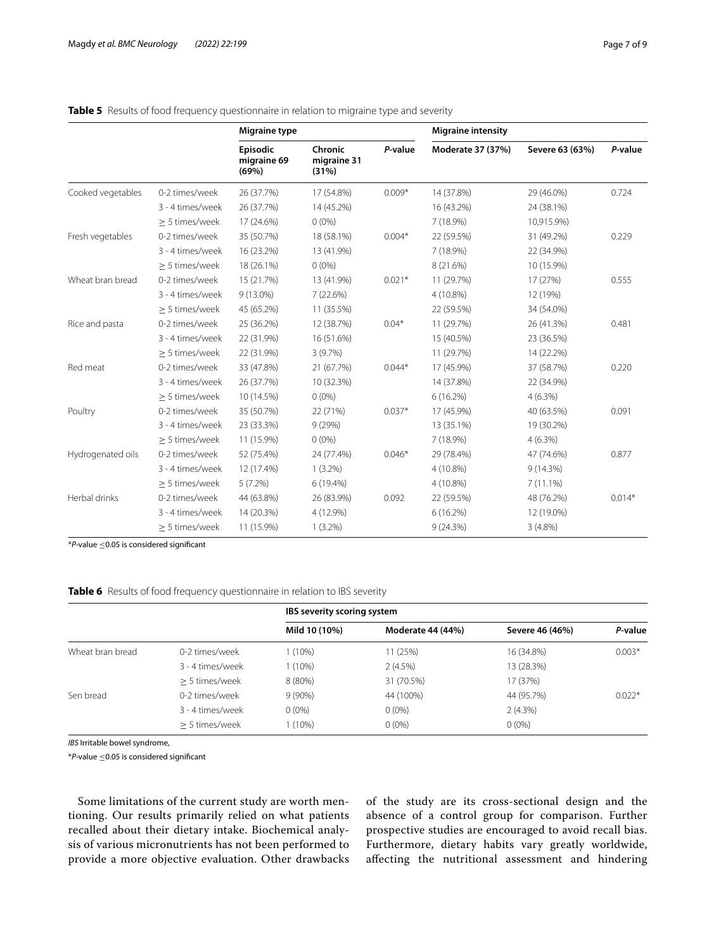|                   |                     | Migraine type                    | <b>Migraine intensity</b>       |          |                   |                 |          |
|-------------------|---------------------|----------------------------------|---------------------------------|----------|-------------------|-----------------|----------|
|                   |                     | Episodic<br>migraine 69<br>(69%) | Chronic<br>migraine 31<br>(31%) | P-value  | Moderate 37 (37%) | Severe 63 (63%) | P-value  |
| Cooked vegetables | 0-2 times/week      | 26 (37.7%)                       | 17 (54.8%)                      | $0.009*$ | 14 (37.8%)        | 29 (46.0%)      | 0.724    |
|                   | 3 - 4 times/week    | 26 (37.7%)                       | 14 (45.2%)                      |          | 16 (43.2%)        | 24 (38.1%)      |          |
|                   | > 5 times/week      | 17 (24.6%)                       | $0(0\%)$                        |          | 7 (18.9%)         | 10,915.9%)      |          |
| Fresh vegetables  | 0-2 times/week      | 35 (50.7%)                       | 18 (58.1%)                      | $0.004*$ | 22 (59.5%)        | 31 (49.2%)      | 0.229    |
|                   | 3 - 4 times/week    | 16 (23.2%)                       | 13 (41.9%)                      |          | 7 (18.9%)         | 22 (34.9%)      |          |
|                   | $\geq$ 5 times/week | 18 (26.1%)                       | $0(0\%)$                        |          | 8 (21.6%)         | 10 (15.9%)      |          |
| Wheat bran bread  | 0-2 times/week      | 15 (21.7%)                       | 13 (41.9%)                      | $0.021*$ | 11 (29.7%)        | 17 (27%)        | 0.555    |
|                   | 3 - 4 times/week    | 9 (13.0%)                        | 7(22.6%)                        |          | 4 (10.8%)         | 12 (19%)        |          |
|                   | > 5 times/week      | 45 (65.2%)                       | 11 (35.5%)                      |          | 22 (59.5%)        | 34 (54.0%)      |          |
| Rice and pasta    | 0-2 times/week      | 25 (36.2%)                       | 12 (38.7%)                      | $0.04*$  | 11 (29.7%)        | 26 (41.3%)      | 0.481    |
|                   | 3 - 4 times/week    | 22 (31.9%)                       | 16 (51.6%)                      |          | 15 (40.5%)        | 23 (36.5%)      |          |
|                   | > 5 times/week      | 22 (31.9%)                       | 3(9.7%)                         |          | 11 (29.7%)        | 14 (22.2%)      |          |
| Red meat          | 0-2 times/week      | 33 (47.8%)                       | 21 (67.7%)                      | $0.044*$ | 17 (45.9%)        | 37 (58.7%)      | 0.220    |
|                   | 3 - 4 times/week    | 26 (37.7%)                       | 10 (32.3%)                      |          | 14 (37.8%)        | 22 (34.9%)      |          |
|                   | > 5 times/week      | 10 (14.5%)                       | $0(0\%)$                        |          | $6(16.2\%)$       | 4(6.3%)         |          |
| Poultry           | 0-2 times/week      | 35 (50.7%)                       | 22 (71%)                        | $0.037*$ | 17 (45.9%)        | 40 (63.5%)      | 0.091    |
|                   | 3 - 4 times/week    | 23 (33.3%)                       | 9(29%)                          |          | 13 (35.1%)        | 19 (30.2%)      |          |
|                   | > 5 times/week      | 11 (15.9%)                       | $0(0\%)$                        |          | 7 (18.9%)         | $4(6.3\%)$      |          |
| Hydrogenated oils | 0-2 times/week      | 52 (75.4%)                       | 24 (77.4%)                      | $0.046*$ | 29 (78.4%)        | 47 (74.6%)      | 0.877    |
|                   | 3 - 4 times/week    | 12 (17.4%)                       | $1(3.2\%)$                      |          | 4 (10.8%)         | 9(14.3%)        |          |
|                   | > 5 times/week      | 5(7.2%)                          | 6 (19.4%)                       |          | 4 (10.8%)         | $7(11.1\%)$     |          |
| Herbal drinks     | 0-2 times/week      | 44 (63.8%)                       | 26 (83.9%)                      | 0.092    | 22 (59.5%)        | 48 (76.2%)      | $0.014*$ |
|                   | 3 - 4 times/week    | 14 (20.3%)                       | 4 (12.9%)                       |          | 6(16.2%)          | 12 (19.0%)      |          |
|                   | $\geq$ 5 times/week | 11 (15.9%)                       | $1(3.2\%)$                      |          | 9(24.3%)          | $3(4.8\%)$      |          |

## <span id="page-6-0"></span>**Table 5** Results of food frequency questionnaire in relation to migraine type and severity

\**P-*value ≤0.05 is considered signifcant

<span id="page-6-1"></span>

|  |  |  | Table 6 Results of food frequency questionnaire in relation to IBS severity |  |  |  |  |  |
|--|--|--|-----------------------------------------------------------------------------|--|--|--|--|--|
|--|--|--|-----------------------------------------------------------------------------|--|--|--|--|--|

|                  |                  |               | IBS severity scoring system |                 |          |  |  |
|------------------|------------------|---------------|-----------------------------|-----------------|----------|--|--|
|                  |                  | Mild 10 (10%) | Moderate 44 (44%)           | Severe 46 (46%) | P-value  |  |  |
| Wheat bran bread | 0-2 times/week   | $1(10\%)$     | 11 (25%)                    | 16 (34.8%)      | $0.003*$ |  |  |
|                  | 3 - 4 times/week | 1 (10%)       | $2(4.5\%)$                  | 13 (28.3%)      |          |  |  |
|                  | > 5 times/week   | 8 (80%)       | 31 (70.5%)                  | 17 (37%)        |          |  |  |
| Sen bread        | 0-2 times/week   | $9(90\%)$     | 44 (100%)                   | 44 (95.7%)      | $0.022*$ |  |  |
|                  | 3 - 4 times/week | $0(0\%)$      | $0(0\%)$                    | $2(4.3\%)$      |          |  |  |
|                  | > 5 times/week   | 1 (10%)       | $0(0\%)$                    | $0(0\%)$        |          |  |  |

*IBS* Irritable bowel syndrome,

\**P-*value ≤0.05 is considered signifcant

Some limitations of the current study are worth mentioning. Our results primarily relied on what patients recalled about their dietary intake. Biochemical analysis of various micronutrients has not been performed to provide a more objective evaluation. Other drawbacks of the study are its cross-sectional design and the absence of a control group for comparison. Further prospective studies are encouraged to avoid recall bias. Furthermore, dietary habits vary greatly worldwide, afecting the nutritional assessment and hindering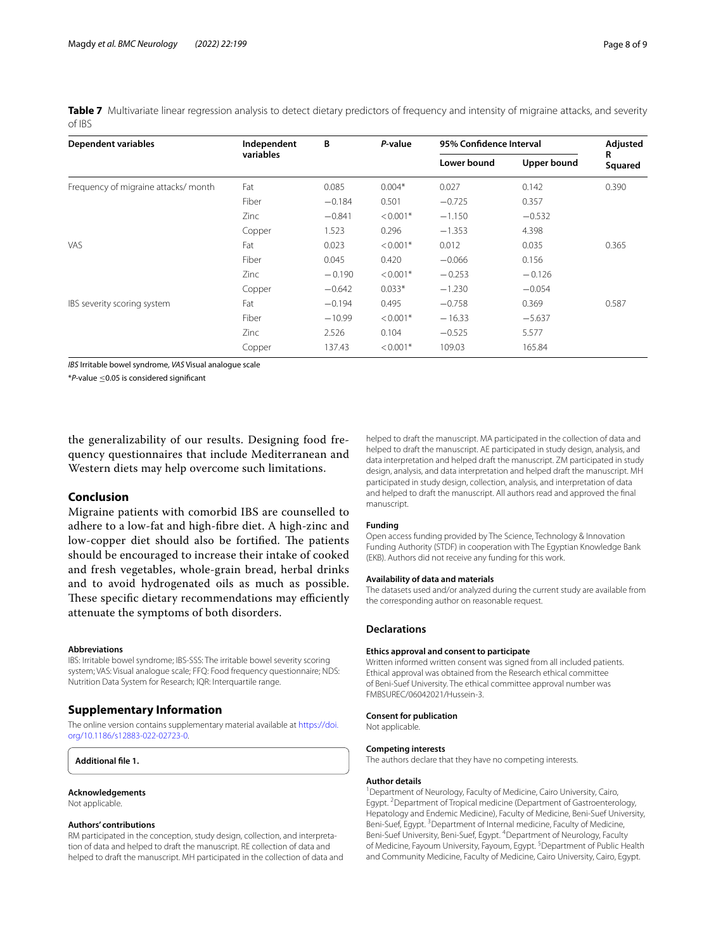<span id="page-7-1"></span>**Table 7** Multivariate linear regression analysis to detect dietary predictors of frequency and intensity of migraine attacks, and severity of IBS

| <b>Dependent variables</b>          | Independent<br>variables | В        | P-value    | 95% Confidence Interval | Adjusted           |              |
|-------------------------------------|--------------------------|----------|------------|-------------------------|--------------------|--------------|
|                                     |                          |          |            | Lower bound             | <b>Upper bound</b> | R<br>Squared |
| Frequency of migraine attacks/month | Fat                      | 0.085    | $0.004*$   | 0.027                   | 0.142              | 0.390        |
|                                     | Fiber                    | $-0.184$ | 0.501      | $-0.725$                | 0.357              |              |
|                                     | Zinc                     | $-0.841$ | $< 0.001*$ | $-1.150$                | $-0.532$           |              |
|                                     | Copper                   | 1.523    | 0.296      | $-1.353$                | 4.398              |              |
| VAS                                 | Fat                      | 0.023    | $< 0.001*$ | 0.012                   | 0.035              | 0.365        |
|                                     | Fiber                    | 0.045    | 0.420      | $-0.066$                | 0.156              |              |
|                                     | Zinc                     | $-0.190$ | $< 0.001*$ | $-0.253$                | $-0.126$           |              |
|                                     | Copper                   | $-0.642$ | $0.033*$   | $-1.230$                | $-0.054$           |              |
| IBS severity scoring system         | Fat                      | $-0.194$ | 0.495      | $-0.758$                | 0.369              | 0.587        |
|                                     | Fiber                    | $-10.99$ | $< 0.001*$ | $-16.33$                | $-5.637$           |              |
|                                     | Zinc                     | 2.526    | 0.104      | $-0.525$                | 5.577              |              |
|                                     | Copper                   | 137.43   | $< 0.001*$ | 109.03                  | 165.84             |              |

*IBS* Irritable bowel syndrome, *VAS* Visual analogue scale

\**P-*value ≤0.05 is considered signifcant

the generalizability of our results. Designing food frequency questionnaires that include Mediterranean and Western diets may help overcome such limitations.

## **Conclusion**

Migraine patients with comorbid IBS are counselled to adhere to a low-fat and high-fbre diet. A high-zinc and low-copper diet should also be fortified. The patients should be encouraged to increase their intake of cooked and fresh vegetables, whole-grain bread, herbal drinks and to avoid hydrogenated oils as much as possible. These specific dietary recommendations may efficiently attenuate the symptoms of both disorders.

## **Abbreviations**

IBS: Irritable bowel syndrome; IBS-SSS: The irritable bowel severity scoring system; VAS: Visual analogue scale; FFQ: Food frequency questionnaire; NDS: Nutrition Data System for Research; IQR: Interquartile range.

## **Supplementary Information**

The online version contains supplementary material available at [https://doi.](https://doi.org/10.1186/s12883-022-02723-0) [org/10.1186/s12883-022-02723-0](https://doi.org/10.1186/s12883-022-02723-0).

#### <span id="page-7-0"></span>**Additional fle 1.**

**Acknowledgements** Not applicable.

## **Authors' contributions**

RM participated in the conception, study design, collection, and interpretation of data and helped to draft the manuscript. RE collection of data and helped to draft the manuscript. MH participated in the collection of data and

helped to draft the manuscript. MA participated in the collection of data and helped to draft the manuscript. AE participated in study design, analysis, and data interpretation and helped draft the manuscript. ZM participated in study design, analysis, and data interpretation and helped draft the manuscript. MH participated in study design, collection, analysis, and interpretation of data and helped to draft the manuscript. All authors read and approved the fnal manuscript.

#### **Funding**

Open access funding provided by The Science, Technology & Innovation Funding Authority (STDF) in cooperation with The Egyptian Knowledge Bank (EKB). Authors did not receive any funding for this work.

#### **Availability of data and materials**

The datasets used and/or analyzed during the current study are available from the corresponding author on reasonable request.

#### **Declarations**

#### **Ethics approval and consent to participate**

Written informed written consent was signed from all included patients. Ethical approval was obtained from the Research ethical committee of Beni-Suef University. The ethical committee approval number was FMBSUREC/06042021/Hussein-3.

# **Consent for publication**

Not applicable.

#### **Competing interests**

The authors declare that they have no competing interests.

#### **Author details**

<sup>1</sup> Department of Neurology, Faculty of Medicine, Cairo University, Cairo, Egypt.<sup>2</sup> Department of Tropical medicine (Department of Gastroenterology, Hepatology and Endemic Medicine), Faculty of Medicine, Beni-Suef University, Beni-Suef, Egypt.<sup>3</sup> Department of Internal medicine, Faculty of Medicine, Beni-Suef University, Beni-Suef, Egypt. <sup>4</sup>Department of Neurology, Faculty of Medicine, Fayoum University, Fayoum, Egypt. <sup>5</sup> Department of Public Health and Community Medicine, Faculty of Medicine, Cairo University, Cairo, Egypt.